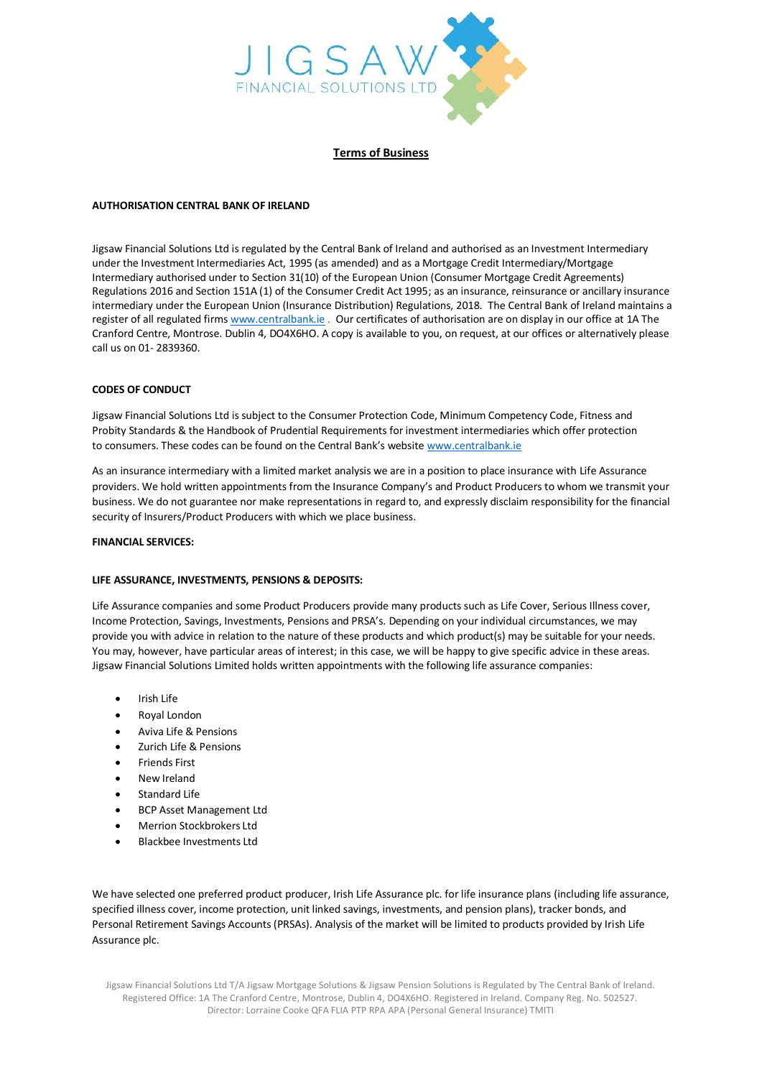

**Terms of Business**

# **AUTHORISATION CENTRAL BANK OF IRELAND**

Jigsaw Financial Solutions Ltd is regulated by the Central Bank of Ireland and authorised as an Investment Intermediary under the Investment Intermediaries Act, 1995 (as amended) and as a Mortgage Credit Intermediary/Mortgage Intermediary authorised under to Section 31(10) of the European Union (Consumer Mortgage Credit Agreements) Regulations 2016 and Section 151A (1) of the Consumer Credit Act 1995; as an insurance, reinsurance or ancillary insurance intermediary under the European Union (Insurance Distribution) Regulations, 2018. The Central Bank of Ireland maintains a register of all regulated firm[s www.centralbank.ie](http://www.centralbank.ie/) . Our certificates of authorisation are on display in our office at 1A The Cranford Centre, Montrose. Dublin 4, DO4X6HO. A copy is available to you, on request, at our offices or alternatively please call us on 01- 2839360.

## **CODES OF CONDUCT**

Jigsaw Financial Solutions Ltd is subject to the Consumer Protection Code, Minimum Competency Code, Fitness and Probity Standards & the Handbook of Prudential Requirements for investment intermediaries which offer protection to consumers. These codes can be found on the Central Bank's website [www.centralbank.ie](http://www.centralbank.ie/)

As an insurance intermediary with a limited market analysis we are in a position to place insurance with Life Assurance providers. We hold written appointments from the Insurance Company's and Product Producers to whom we transmit your business. We do not guarantee nor make representations in regard to, and expressly disclaim responsibility for the financial security of Insurers/Product Producers with which we place business.

## **FINANCIAL SERVICES:**

## **LIFE ASSURANCE, INVESTMENTS, PENSIONS & DEPOSITS:**

Life Assurance companies and some Product Producers provide many products such as Life Cover, Serious Illness cover, Income Protection, Savings, Investments, Pensions and PRSA's. Depending on your individual circumstances, we may provide you with advice in relation to the nature of these products and which product(s) may be suitable for your needs. You may, however, have particular areas of interest; in this case, we will be happy to give specific advice in these areas. Jigsaw Financial Solutions Limited holds written appointments with the following life assurance companies:

- Irish Life
- Royal London
- Aviva Life & Pensions
- Zurich Life & Pensions
- Friends First
- New Ireland
- Standard Life
- BCP Asset Management Ltd
- Merrion Stockbrokers Ltd
- Blackbee Investments Ltd

We have selected one preferred product producer, Irish Life Assurance plc. for life insurance plans (including life assurance, specified illness cover, income protection, unit linked savings, investments, and pension plans), tracker bonds, and Personal Retirement Savings Accounts (PRSAs). Analysis of the market will be limited to products provided by Irish Life Assurance plc.

Jigsaw Financial Solutions Ltd T/A Jigsaw Mortgage Solutions & Jigsaw Pension Solutions is Regulated by The Central Bank of Ireland. Registered Office: 1A The Cranford Centre, Montrose, Dublin 4, DO4X6HO. Registered in Ireland. Company Reg. No. 502527. Director: Lorraine Cooke QFA FLIA PTP RPA APA (Personal General Insurance) TMITI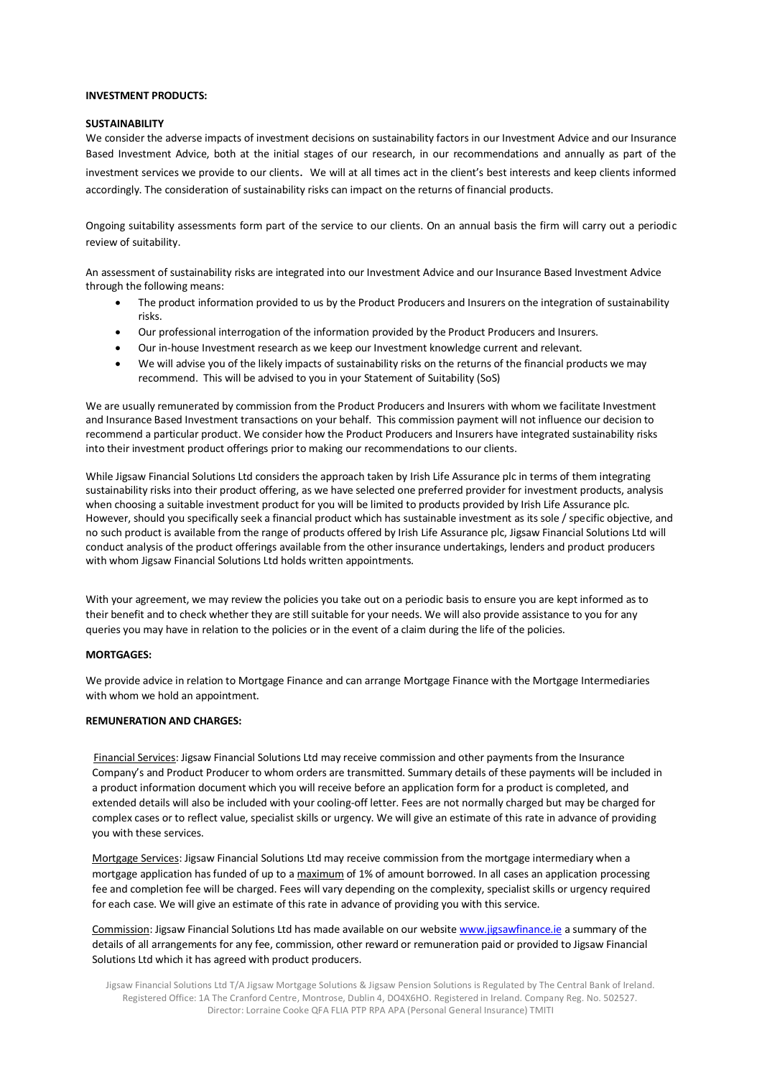# **INVESTMENT PRODUCTS:**

### **SUSTAINABILITY**

We consider the adverse impacts of investment decisions on sustainability factors in our Investment Advice and our Insurance Based Investment Advice, both at the initial stages of our research, in our recommendations and annually as part of the investment services we provide to our clients. We will at all times act in the client's best interests and keep clients informed accordingly. The consideration of sustainability risks can impact on the returns of financial products.

Ongoing suitability assessments form part of the service to our clients. On an annual basis the firm will carry out a periodic review of suitability.

An assessment of sustainability risks are integrated into our Investment Advice and our Insurance Based Investment Advice through the following means:

- The product information provided to us by the Product Producers and Insurers on the integration of sustainability risks.
- Our professional interrogation of the information provided by the Product Producers and Insurers.
- Our in-house Investment research as we keep our Investment knowledge current and relevant.
- We will advise you of the likely impacts of sustainability risks on the returns of the financial products we may recommend. This will be advised to you in your Statement of Suitability (SoS)

We are usually remunerated by commission from the Product Producers and Insurers with whom we facilitate Investment and Insurance Based Investment transactions on your behalf. This commission payment will not influence our decision to recommend a particular product. We consider how the Product Producers and Insurers have integrated sustainability risks into their investment product offerings prior to making our recommendations to our clients.

While Jigsaw Financial Solutions Ltd considers the approach taken by Irish Life Assurance plc in terms of them integrating sustainability risks into their product offering, as we have selected one preferred provider for investment products, analysis when choosing a suitable investment product for you will be limited to products provided by Irish Life Assurance plc. However, should you specifically seek a financial product which has sustainable investment as its sole / specific objective, and no such product is available from the range of products offered by Irish Life Assurance plc, Jigsaw Financial Solutions Ltd will conduct analysis of the product offerings available from the other insurance undertakings, lenders and product producers with whom Jigsaw Financial Solutions Ltd holds written appointments.

With your agreement, we may review the policies you take out on a periodic basis to ensure you are kept informed as to their benefit and to check whether they are still suitable for your needs. We will also provide assistance to you for any queries you may have in relation to the policies or in the event of a claim during the life of the policies.

### **MORTGAGES:**

We provide advice in relation to Mortgage Finance and can arrange Mortgage Finance with the Mortgage Intermediaries with whom we hold an appointment.

# **REMUNERATION AND CHARGES:**

 Financial Services: Jigsaw Financial Solutions Ltd may receive commission and other payments from the Insurance Company's and Product Producer to whom orders are transmitted. Summary details of these payments will be included in a product information document which you will receive before an application form for a product is completed, and extended details will also be included with your cooling-off letter. Fees are not normally charged but may be charged for complex cases or to reflect value, specialist skills or urgency. We will give an estimate of this rate in advance of providing you with these services.

Mortgage Services: Jigsaw Financial Solutions Ltd may receive commission from the mortgage intermediary when a mortgage application has funded of up to a maximum of 1% of amount borrowed. In all cases an application processing fee and completion fee will be charged. Fees will vary depending on the complexity, specialist skills or urgency required for each case. We will give an estimate of this rate in advance of providing you with this service.

Commission: Jigsaw Financial Solutions Ltd has made available on our websit[e www.jigsawfinance.ie](http://www.jigsawfinance.ie/) a summary of the details of all arrangements for any fee, commission, other reward or remuneration paid or provided to Jigsaw Financial Solutions Ltd which it has agreed with product producers.

Jigsaw Financial Solutions Ltd T/A Jigsaw Mortgage Solutions & Jigsaw Pension Solutions is Regulated by The Central Bank of Ireland. Registered Office: 1A The Cranford Centre, Montrose, Dublin 4, DO4X6HO. Registered in Ireland. Company Reg. No. 502527. Director: Lorraine Cooke QFA FLIA PTP RPA APA (Personal General Insurance) TMITI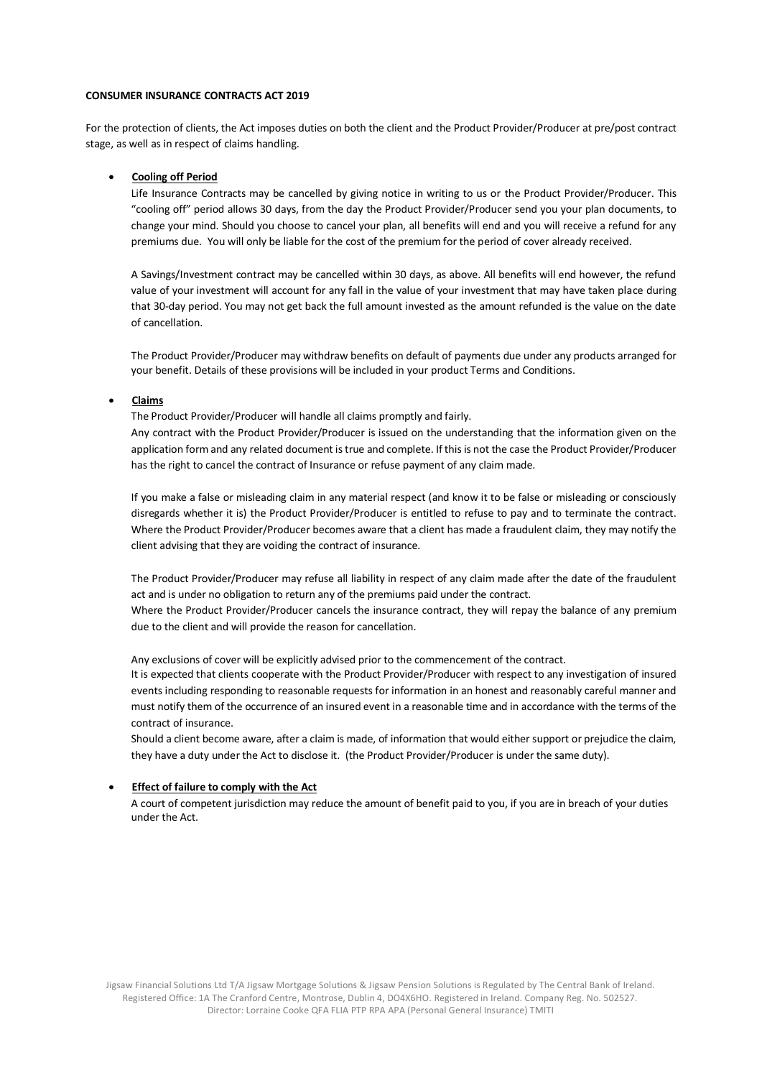### **CONSUMER INSURANCE CONTRACTS ACT 2019**

For the protection of clients, the Act imposes duties on both the client and the Product Provider/Producer at pre/post contract stage, as well as in respect of claims handling.

### • **Cooling off Period**

Life Insurance Contracts may be cancelled by giving notice in writing to us or the Product Provider/Producer. This "cooling off" period allows 30 days, from the day the Product Provider/Producer send you your plan documents, to change your mind. Should you choose to cancel your plan, all benefits will end and you will receive a refund for any premiums due. You will only be liable for the cost of the premium for the period of cover already received.

A Savings/Investment contract may be cancelled within 30 days, as above. All benefits will end however, the refund value of your investment will account for any fall in the value of your investment that may have taken place during that 30-day period. You may not get back the full amount invested as the amount refunded is the value on the date of cancellation.

The Product Provider/Producer may withdraw benefits on default of payments due under any products arranged for your benefit. Details of these provisions will be included in your product Terms and Conditions.

### • **Claims**

The Product Provider/Producer will handle all claims promptly and fairly.

Any contract with the Product Provider/Producer is issued on the understanding that the information given on the application form and any related document is true and complete. If this is not the case the Product Provider/Producer has the right to cancel the contract of Insurance or refuse payment of any claim made.

If you make a false or misleading claim in any material respect (and know it to be false or misleading or consciously disregards whether it is) the Product Provider/Producer is entitled to refuse to pay and to terminate the contract. Where the Product Provider/Producer becomes aware that a client has made a fraudulent claim, they may notify the client advising that they are voiding the contract of insurance.

The Product Provider/Producer may refuse all liability in respect of any claim made after the date of the fraudulent act and is under no obligation to return any of the premiums paid under the contract.

Where the Product Provider/Producer cancels the insurance contract, they will repay the balance of any premium due to the client and will provide the reason for cancellation.

Any exclusions of cover will be explicitly advised prior to the commencement of the contract.

It is expected that clients cooperate with the Product Provider/Producer with respect to any investigation of insured events including responding to reasonable requests for information in an honest and reasonably careful manner and must notify them of the occurrence of an insured event in a reasonable time and in accordance with the terms of the contract of insurance.

Should a client become aware, after a claim is made, of information that would either support or prejudice the claim, they have a duty under the Act to disclose it. (the Product Provider/Producer is under the same duty).

#### • **Effect of failure to comply with the Act**

A court of competent jurisdiction may reduce the amount of benefit paid to you, if you are in breach of your duties under the Act.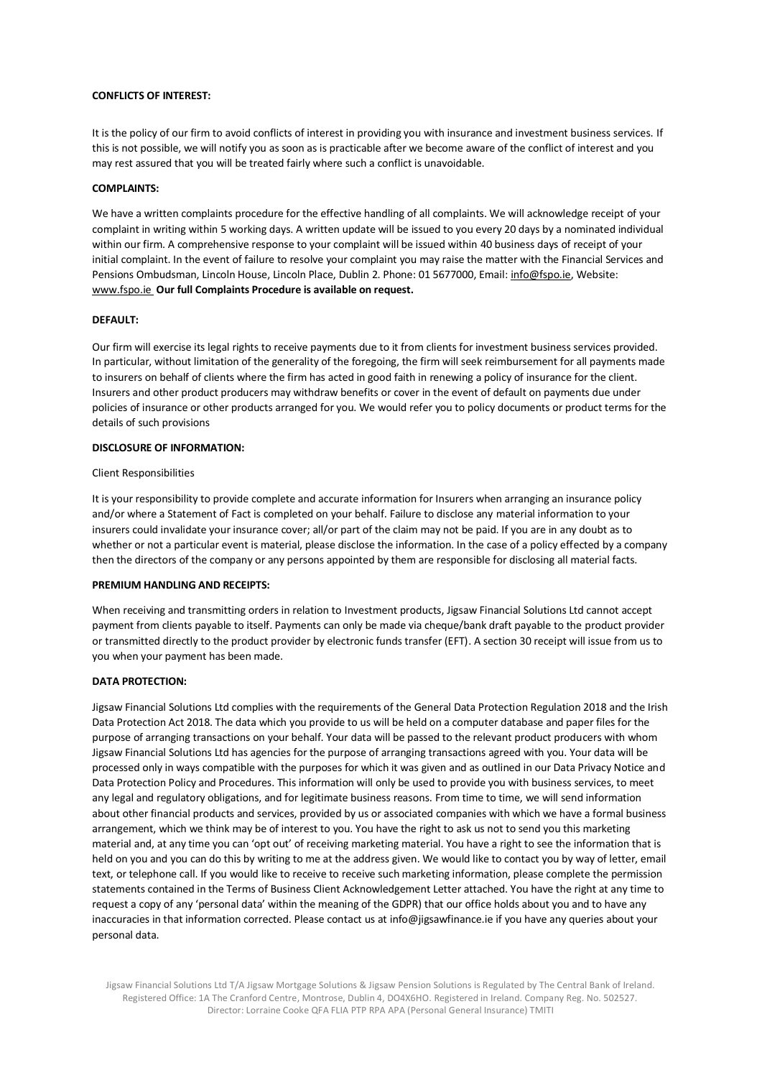# **CONFLICTS OF INTEREST:**

It is the policy of our firm to avoid conflicts of interest in providing you with insurance and investment business services. If this is not possible, we will notify you as soon as is practicable after we become aware of the conflict of interest and you may rest assured that you will be treated fairly where such a conflict is unavoidable.

## **COMPLAINTS:**

We have a written complaints procedure for the effective handling of all complaints. We will acknowledge receipt of your complaint in writing within 5 working days. A written update will be issued to you every 20 days by a nominated individual within our firm. A comprehensive response to your complaint will be issued within 40 business days of receipt of your initial complaint. In the event of failure to resolve your complaint you may raise the matter with the Financial Services and Pensions Ombudsman, Lincoln House, Lincoln Place, Dublin 2. Phone: 01 5677000, Email[: info@fspo.ie, W](mailto:info@fspo.ie)ebsite: [www.fspo.ie](http://www.fspo.ie/) **Our full Complaints Procedure is available on request.**

### **DEFAULT:**

Our firm will exercise its legal rights to receive payments due to it from clients for investment business services provided. In particular, without limitation of the generality of the foregoing, the firm will seek reimbursement for all payments made to insurers on behalf of clients where the firm has acted in good faith in renewing a policy of insurance for the client. Insurers and other product producers may withdraw benefits or cover in the event of default on payments due under policies of insurance or other products arranged for you. We would refer you to policy documents or product terms for the details of such provisions

### **DISCLOSURE OF INFORMATION:**

### Client Responsibilities

It is your responsibility to provide complete and accurate information for Insurers when arranging an insurance policy and/or where a Statement of Fact is completed on your behalf. Failure to disclose any material information to your insurers could invalidate your insurance cover; all/or part of the claim may not be paid. If you are in any doubt as to whether or not a particular event is material, please disclose the information. In the case of a policy effected by a company then the directors of the company or any persons appointed by them are responsible for disclosing all material facts.

#### **PREMIUM HANDLING AND RECEIPTS:**

When receiving and transmitting orders in relation to Investment products, Jigsaw Financial Solutions Ltd cannot accept payment from clients payable to itself. Payments can only be made via cheque/bank draft payable to the product provider or transmitted directly to the product provider by electronic funds transfer (EFT). A section 30 receipt will issue from us to you when your payment has been made.

#### **DATA PROTECTION:**

Jigsaw Financial Solutions Ltd complies with the requirements of the General Data Protection Regulation 2018 and the Irish Data Protection Act 2018. The data which you provide to us will be held on a computer database and paper files for the purpose of arranging transactions on your behalf. Your data will be passed to the relevant product producers with whom Jigsaw Financial Solutions Ltd has agencies for the purpose of arranging transactions agreed with you. Your data will be processed only in ways compatible with the purposes for which it was given and as outlined in our Data Privacy Notice and Data Protection Policy and Procedures. This information will only be used to provide you with business services, to meet any legal and regulatory obligations, and for legitimate business reasons. From time to time, we will send information about other financial products and services, provided by us or associated companies with which we have a formal business arrangement, which we think may be of interest to you. You have the right to ask us not to send you this marketing material and, at any time you can 'opt out' of receiving marketing material. You have a right to see the information that is held on you and you can do this by writing to me at the address given. We would like to contact you by way of letter, email text, or telephone call. If you would like to receive to receive such marketing information, please complete the permission statements contained in the Terms of Business Client Acknowledgement Letter attached. You have the right at any time to request a copy of any 'personal data' within the meaning of the GDPR) that our office holds about you and to have any inaccuracies in that information corrected. Please contact us a[t info@jigsawfinance.ie if](mailto:info@jigsawfinance.ie) you have any queries about your personal data.

Jigsaw Financial Solutions Ltd T/A Jigsaw Mortgage Solutions & Jigsaw Pension Solutions is Regulated by The Central Bank of Ireland. Registered Office: 1A The Cranford Centre, Montrose, Dublin 4, DO4X6HO. Registered in Ireland. Company Reg. No. 502527. Director: Lorraine Cooke QFA FLIA PTP RPA APA (Personal General Insurance) TMITI